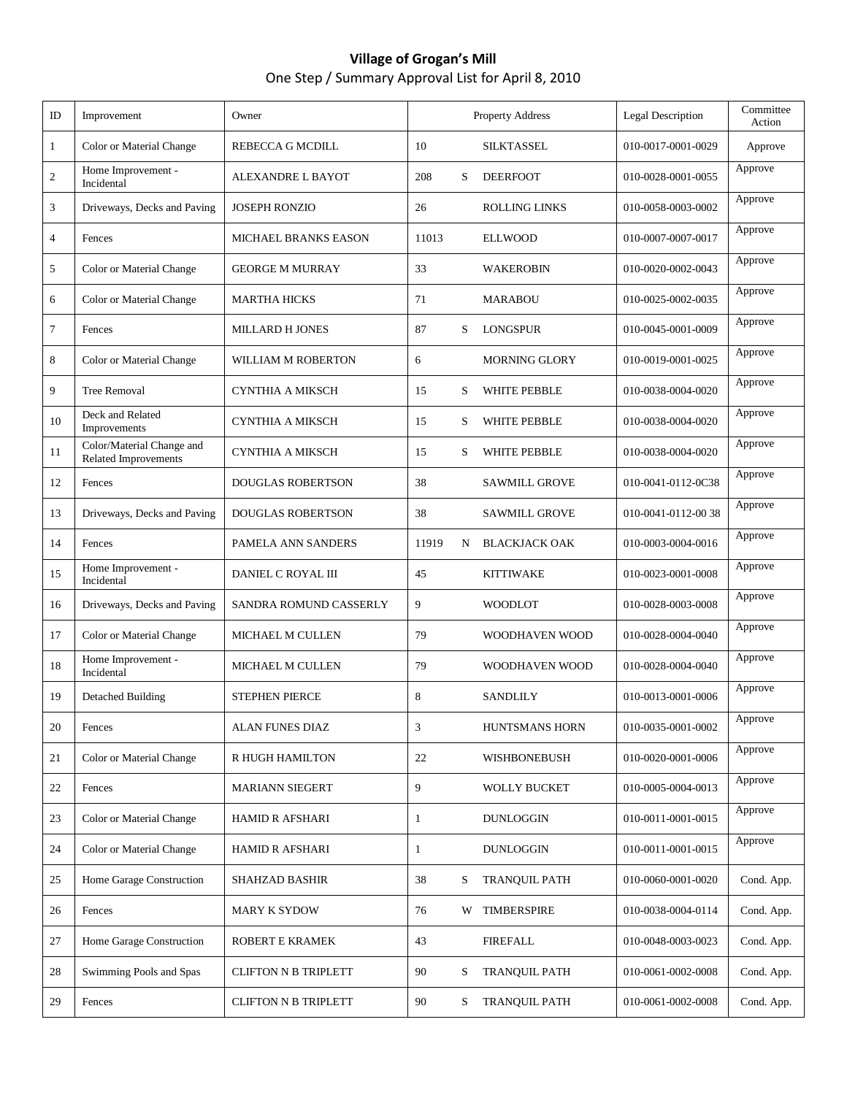## **Village of Grogan's Mill** One Step / Summary Approval List for April 8, 2010

| ID             | Improvement                                       | Owner                       |       |   | Property Address     | <b>Legal Description</b> | Committee<br>Action |
|----------------|---------------------------------------------------|-----------------------------|-------|---|----------------------|--------------------------|---------------------|
| 1              | Color or Material Change                          | REBECCA G MCDILL            | 10    |   | <b>SILKTASSEL</b>    | 010-0017-0001-0029       | Approve             |
| $\sqrt{2}$     | Home Improvement -<br>Incidental                  | ALEXANDRE L BAYOT           | 208   | S | <b>DEERFOOT</b>      | 010-0028-0001-0055       | Approve             |
| 3              | Driveways, Decks and Paving                       | <b>JOSEPH RONZIO</b>        | 26    |   | <b>ROLLING LINKS</b> | 010-0058-0003-0002       | Approve             |
| $\overline{4}$ | Fences                                            | <b>MICHAEL BRANKS EASON</b> | 11013 |   | <b>ELLWOOD</b>       | 010-0007-0007-0017       | Approve             |
| 5              | Color or Material Change                          | <b>GEORGE M MURRAY</b>      | 33    |   | <b>WAKEROBIN</b>     | 010-0020-0002-0043       | Approve             |
| 6              | Color or Material Change                          | <b>MARTHA HICKS</b>         | 71    |   | <b>MARABOU</b>       | 010-0025-0002-0035       | Approve             |
| 7              | Fences                                            | <b>MILLARD H JONES</b>      | 87    | S | <b>LONGSPUR</b>      | 010-0045-0001-0009       | Approve             |
| 8              | Color or Material Change                          | WILLIAM M ROBERTON          | 6     |   | <b>MORNING GLORY</b> | 010-0019-0001-0025       | Approve             |
| 9              | <b>Tree Removal</b>                               | CYNTHIA A MIKSCH            | 15    | S | WHITE PEBBLE         | 010-0038-0004-0020       | Approve             |
| 10             | Deck and Related<br>Improvements                  | CYNTHIA A MIKSCH            | 15    | S | <b>WHITE PEBBLE</b>  | 010-0038-0004-0020       | Approve             |
| 11             | Color/Material Change and<br>Related Improvements | CYNTHIA A MIKSCH            | 15    | S | WHITE PEBBLE         | 010-0038-0004-0020       | Approve             |
| 12             | Fences                                            | <b>DOUGLAS ROBERTSON</b>    | 38    |   | <b>SAWMILL GROVE</b> | 010-0041-0112-0C38       | Approve             |
| 13             | Driveways, Decks and Paving                       | <b>DOUGLAS ROBERTSON</b>    | 38    |   | <b>SAWMILL GROVE</b> | 010-0041-0112-0038       | Approve             |
| 14             | Fences                                            | PAMELA ANN SANDERS          | 11919 | N | <b>BLACKJACK OAK</b> | 010-0003-0004-0016       | Approve             |
| 15             | Home Improvement -<br>Incidental                  | DANIEL C ROYAL III          | 45    |   | <b>KITTIWAKE</b>     | 010-0023-0001-0008       | Approve             |
| 16             | Driveways, Decks and Paving                       | SANDRA ROMUND CASSERLY      | 9     |   | <b>WOODLOT</b>       | 010-0028-0003-0008       | Approve             |
| 17             | Color or Material Change                          | <b>MICHAEL M CULLEN</b>     | 79    |   | WOODHAVEN WOOD       | 010-0028-0004-0040       | Approve             |
| 18             | Home Improvement -<br>Incidental                  | MICHAEL M CULLEN            | 79    |   | WOODHAVEN WOOD       | 010-0028-0004-0040       | Approve             |
| 19             | Detached Building                                 | <b>STEPHEN PIERCE</b>       | 8     |   | <b>SANDLILY</b>      | 010-0013-0001-0006       | Approve             |
| 20             | Fences                                            | ALAN FUNES DIAZ             | 3     |   | HUNTSMANS HORN       | 010-0035-0001-0002       | Approve             |
| 21             | Color or Material Change                          | R HUGH HAMILTON             | 22    |   | WISHBONEBUSH         | 010-0020-0001-0006       | Approve             |
| 22             | Fences                                            | <b>MARIANN SIEGERT</b>      | 9     |   | <b>WOLLY BUCKET</b>  | 010-0005-0004-0013       | Approve             |
| 23             | Color or Material Change                          | <b>HAMID R AFSHARI</b>      | 1     |   | <b>DUNLOGGIN</b>     | 010-0011-0001-0015       | Approve             |
| 24             | Color or Material Change                          | <b>HAMID R AFSHARI</b>      | 1     |   | <b>DUNLOGGIN</b>     | 010-0011-0001-0015       | Approve             |
| 25             | Home Garage Construction                          | <b>SHAHZAD BASHIR</b>       | 38    | S | <b>TRANQUIL PATH</b> | 010-0060-0001-0020       | Cond. App.          |
| 26             | Fences                                            | <b>MARY K SYDOW</b>         | 76    | W | <b>TIMBERSPIRE</b>   | 010-0038-0004-0114       | Cond. App.          |
| 27             | Home Garage Construction                          | ROBERT E KRAMEK             | 43    |   | <b>FIREFALL</b>      | 010-0048-0003-0023       | Cond. App.          |
| 28             | Swimming Pools and Spas                           | <b>CLIFTON N B TRIPLETT</b> | 90    | S | <b>TRANQUIL PATH</b> | 010-0061-0002-0008       | Cond. App.          |
| 29             | Fences                                            | <b>CLIFTON N B TRIPLETT</b> | 90    | S | <b>TRANQUIL PATH</b> | 010-0061-0002-0008       | Cond. App.          |